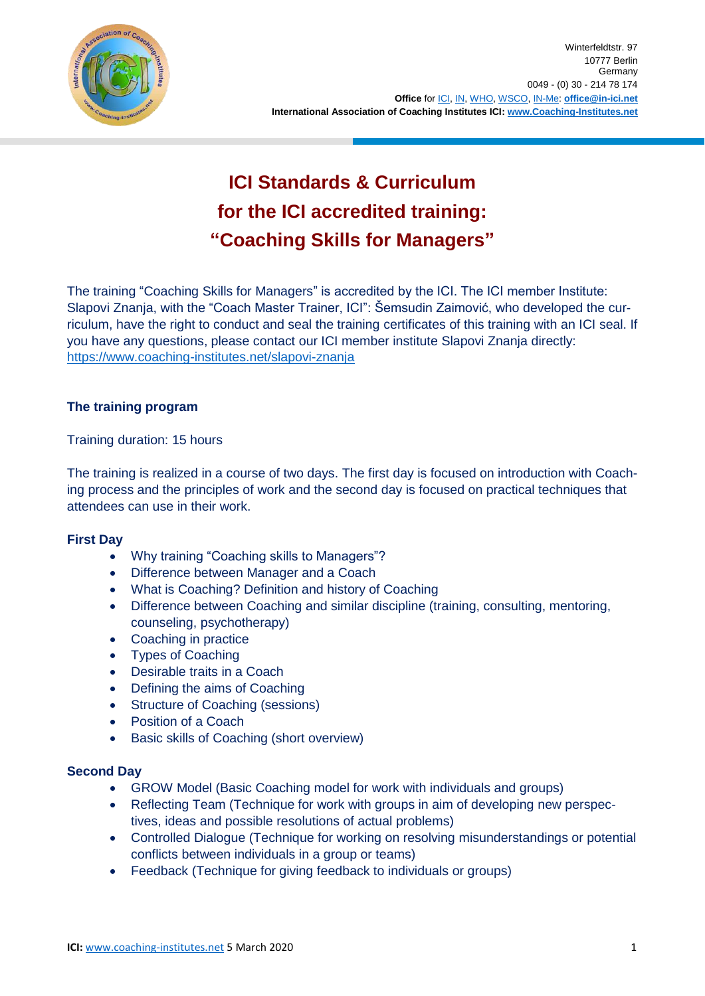

# **ICI Standards & Curriculum for the ICI accredited training: "Coaching Skills for Managers"**

The training "Coaching Skills for Managers" is accredited by the ICI. The ICI member Institute: Slapovi Znanja, with the "Coach Master Trainer, ICI": Šemsudin Zaimović, who developed the curriculum, have the right to conduct and seal the training certificates of this training with an ICI seal. If you have any questions, please contact our ICI member institute Slapovi Znanja directly: <https://www.coaching-institutes.net/slapovi-znanja>

## **The training program**

Training duration: 15 hours

The training is realized in a course of two days. The first day is focused on introduction with Coaching process and the principles of work and the second day is focused on practical techniques that attendees can use in their work.

#### **First Day**

- Why training "Coaching skills to Managers"?
- Difference between Manager and a Coach
- What is Coaching? Definition and history of Coaching
- Difference between Coaching and similar discipline (training, consulting, mentoring, counseling, psychotherapy)
- Coaching in practice
- Types of Coaching
- Desirable traits in a Coach
- Defining the aims of Coaching
- Structure of Coaching (sessions)
- Position of a Coach
- **•** Basic skills of Coaching (short overview)

#### **Second Day**

- GROW Model (Basic Coaching model for work with individuals and groups)
- Reflecting Team (Technique for work with groups in aim of developing new perspectives, ideas and possible resolutions of actual problems)
- Controlled Dialogue (Technique for working on resolving misunderstandings or potential conflicts between individuals in a group or teams)
- Feedback (Technique for giving feedback to individuals or groups)